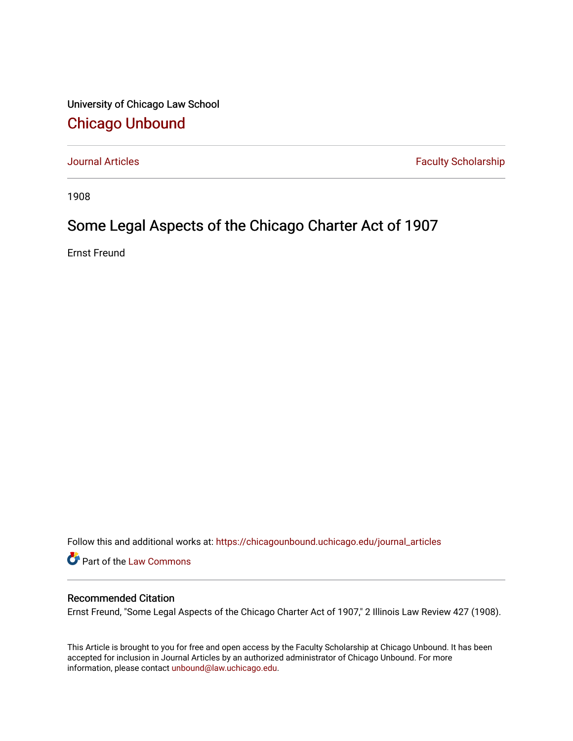University of Chicago Law School [Chicago Unbound](https://chicagounbound.uchicago.edu/)

[Journal Articles](https://chicagounbound.uchicago.edu/journal_articles) **Faculty Scholarship Faculty Scholarship** 

1908

## Some Legal Aspects of the Chicago Charter Act of 1907

Ernst Freund

Follow this and additional works at: [https://chicagounbound.uchicago.edu/journal\\_articles](https://chicagounbound.uchicago.edu/journal_articles?utm_source=chicagounbound.uchicago.edu%2Fjournal_articles%2F7841&utm_medium=PDF&utm_campaign=PDFCoverPages) 

Part of the [Law Commons](http://network.bepress.com/hgg/discipline/578?utm_source=chicagounbound.uchicago.edu%2Fjournal_articles%2F7841&utm_medium=PDF&utm_campaign=PDFCoverPages)

### Recommended Citation

Ernst Freund, "Some Legal Aspects of the Chicago Charter Act of 1907," 2 Illinois Law Review 427 (1908).

This Article is brought to you for free and open access by the Faculty Scholarship at Chicago Unbound. It has been accepted for inclusion in Journal Articles by an authorized administrator of Chicago Unbound. For more information, please contact [unbound@law.uchicago.edu](mailto:unbound@law.uchicago.edu).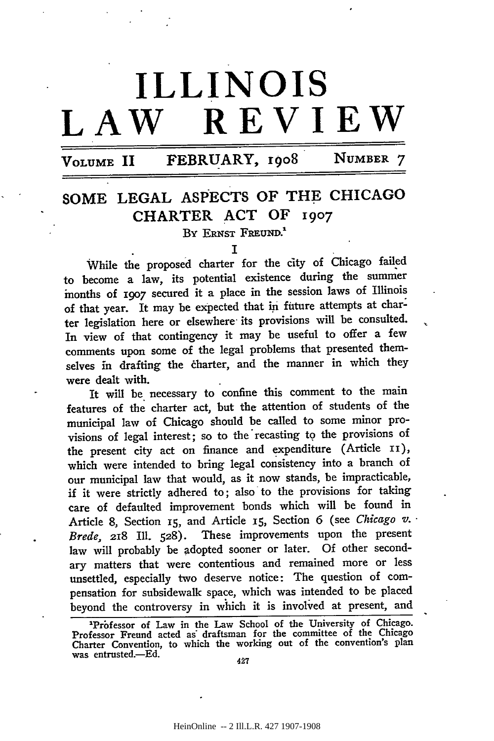# **ILLINOIS LAW REVIEW**

## **VOLUME II FEBRUARY,** 19o8 NUMBER **7**

## **SOME LEGAL ASPECTS OF THE CHICAGO CHARTER ACT OF** 1907

BY ERNST FREUND.<sup>1</sup>

While the proposed charter for the city of Chicago failed to become a law, its potential existence during the summer months of i9o7 secured it a place in the session laws of Illinois of that year. It may be expected that in future attempts at charter legislation here or elsewhere its provisions will be consulted. In view of that contingency it may be useful to offer a few comments upon some of the legal problems that presented themselves in drafting the charter, and the manner in which they were dealt with.

It will be necessary to confine this comment to the main features of the charter act, but the attention of students of the municipal law of Chicago should be called to some minor provisions of legal interest; so to the recasting to the provisions of the present city act on finance and expenditure (Article Ii), which were intended to bring legal consistency into a branch of our municipal law that would, as it now stands, be impracticable, if it were strictly adhered to; also to the provisions for taking care of defaulted improvement bonds which will be found in Article 8, Section **I5,** and Article **15,** Section 6 (see *Chicago v.. Brede,* 218 Ill. 528). These improvements upon the present law will probably be adopted sooner or later. Of other secondary matters that were contentious and remained more or less unsettled, especially two deserve notice: The question of compensation for subsidewalk space, which was intended to be placed beyond the controversy in which it is involved at present, and

I

<sup>&#</sup>x27;Prbfessor of Law in the Law School of the University of Chicago. Professor Freund acted as" draftsman for the committee of the Chicago Charter Convention, to which the working out of the convention's plan was entrusted.-Ed.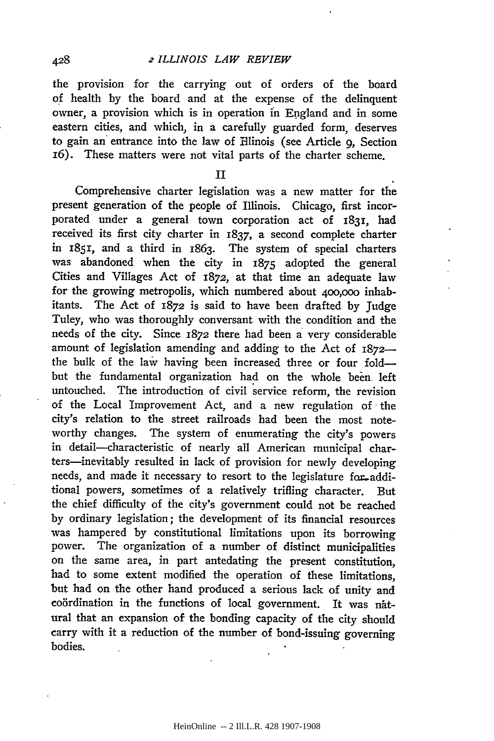#### 2 *ILLINOIS LAW REVIEW*

the provision for the carrying out of orders of the board of health by the board and at the expense of the delinquent owner, a provision which is in operation in England and in some eastern cities, and which, in a carefully guarded form, deserves to gain an entrance into the law of Hlinois (see Article 9, Section i6). These matters were not vital parts of the charter scheme.

II

Comprehensive charter legislation was a new matter for the present generation of the people of Illinois. Chicago, first incorporated under a general town corporation act of 1831, had received its first city charter in 1837, a second complete charter in 1851, and a third in 1863. The system of special charters was abandoned when the city in 1875 adopted the general Cities and Villages Act of *1872,* at that time an adequate law for the growing metropolis, which numbered about 400,000 inhabitants. The Act of 1872 is said to have been drafted by Judge Tuley, who was thoroughly conversant with the condition and the needs of the city. Since 1872 there had been a very considerable amount of legislation amending and adding to the Act of 1872 the bulk of the law having been increased three or four foldbut the fundamental organization had on the whole been left untouched. The introduction of civil service reform, the revision of the Local Improvement Act, and a new regulation of the city's relation to the street railroads had been the most noteworthy changes. The system of enumerating the city's powers in detail-characteristic of nearly all American municipal charters-inevitably resulted in lack of provision for newly developing needs, and made it necessary to resort to the legislature for-additional powers, sometimes of a relatively trifling character. But the chief difficulty of the city's government could not be reached by ordinary legislation; the development of its financial resources was hampered by constitutional limitations upon its borrowing power. The organization of a number of distinct municipalities on the same area, in part antedating the present constitution, had to some extent modified the operation of these limitations, but had on the other hand produced a serious lack of unity and coördination in the functions of local government. It was natural that an expansion of the bonding capacity of the city should carry with it a reduction of the number of bond-issuing governing bodies.

428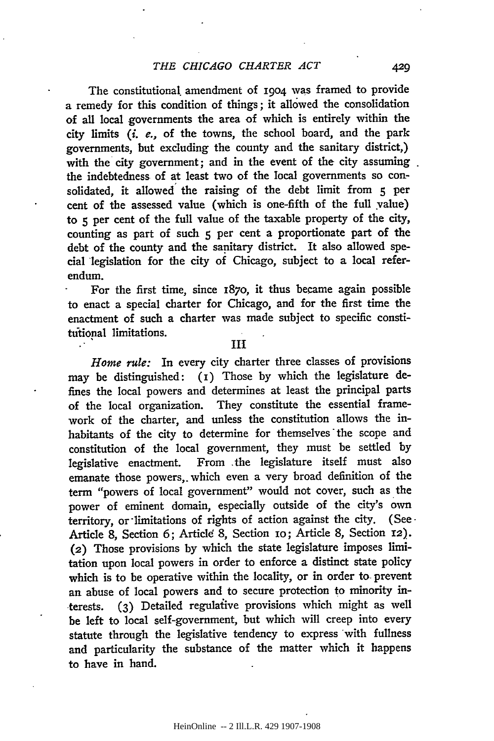The constitutional, amendment of 19o4 was framed to provide a remedy for this condition of things; it allowed the consolidation of all local governments the area of which is entirely within the city limits *(i. e.,* of the towns, the school board, and the park governments, but excluding the county and the sanitary district,) with the city government; and in the event of the city assuming. the indebtedness of at least two of the local governments so consolidated, it allowed' the raising of the debt limit from **5** per cent of the assessed value (which is one-fifth of the full value) to 5 per cent of the full value of the taxable property of the city, counting as part of such 5 per cent a proportionate part of the debt of the county and the sanitary district. It also allowed special legislation for the city of Chicago, subject to a local referendum.

For the first time, since i87o, it thus became again possible to enact a special charter for Chicago, and for the first time the enactment of such a charter was made subject to specific constitutional limitations.

#### **III**

*Home rule:* In every city charter three classes of provisions may be distinguished: **(i)** Those by which the legislature defines the local powers and determines at least the principal parts of the local organization. They constitute the essential framework of the charter, and unless the constitution allows the inhabitants of the city to determine for themselves the scope and constitution of the local government, they must be settled by legislative enactment. From .the legislature itself must also emanate those powers,. which even a very broad definition of the term "powers of local government" would not cover, such as the power of eminent domain, especially outside of the city's own territory, or limitations of rights of action against the city. (See-Article 8, Section 6; Article 8, Section 10; Article 8, Section 12). *(2)* Those provisions by which the state legislature imposes limitation upon local powers in order to enforce a distinct state policy which is to be operative within the locality, or in order to prevent an abuse of local powers and to secure protection to minority interests. (3) Detailed regulaiive provisions which might as well be left to local self-government, but which will creep into every statute through the legislative tendency to express with fullness and particularity the substance of the matter which it happens to have in hand.

429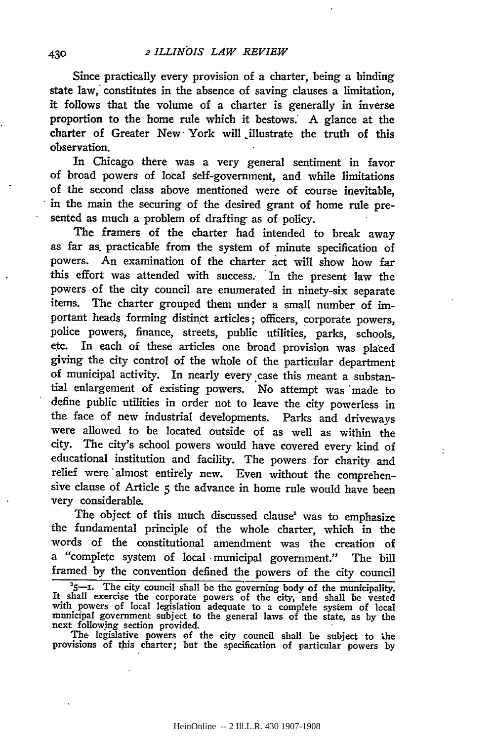Since practically every provision of a charter, being a binding state law, constitutes in the absence of saving clauses a limitation, it follows that the volume of a charter is generally in inverse proportion to the home rule which it bestows. **A** glance at the charter of Greater New York will illustrate the truth of this observation.

In Chicago there was a very general sentiment in favor of broad powers of local gelf-government, and while limitations of the second class above mentioned were of course inevitable, in the main the securing of the desired grant of home rule presented as much a problem of drafting as of policy.

The framers of the charter had intended to break away as far as. practicable from the system of minute specification of powers. An examination of the charter act will show how far this effort was attended with success. In the present law the powers of the city council are enumerated in ninety-six separate items. The charter grouped them under a small number of important heads forming distinct articles; officers, corporate powers, police powers, finance, streets, public utilities, parks, schools, etc. In each of these articles one broad provision was placed giving the city control of the whole of the particular department of municipal activity. In nearly every.case this meant a substantial enlargement of existing powers. No attempt was 'made to define public utilities in order not to leave the city powerless in the face of new industrial developments. Parks and driveways were allowed to be located outside of as well as within the city. The city's school powers would have covered every kind of educational institution and facility. The powers for charity and relief were 'almost entirely new. Even without the comprehensive clause of Article **5** the advance in home rule would have been very considerable.

The object of this much discussed clause<sup>1</sup> was to emphasize the fundamental principle of the whole charter, which in the words of the constitutional amendment was the creation of a "complete system of local -municipal government." The bill framed **by** the convention defined the powers of the city council

The legislative powers of the city council shall be subject to the provisions of this charter; but the specification of particular powers by

<sup>&</sup>lt;sup>2</sup>5-1. The city council shall be the governing body of the municipality.<br>It shall exercise the corporate powers of the city, and shall be vested<br>with powers of local legislation adequate to a complete system of local municipal government subject to the general laws of the state, as by the next following section provided.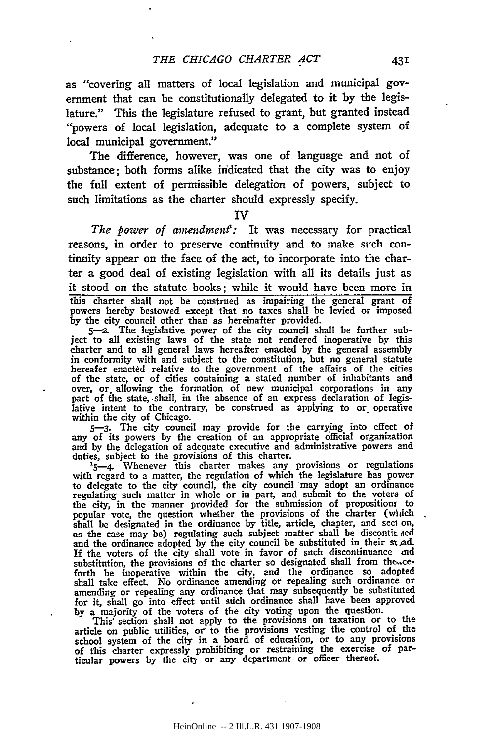as "covering all matters of local legislation and municipal government that can be constitutionally delegated to it by the legislature." This the legislature refused to grant, but granted instead "powers of local legislation, adequate to a complete system of local municipal government."

The difference, however, was one of language and not of substance; both forms alike indicated that the city was to enjoy the full extent of permissible delegation of powers, subject to such limitations as the charter should expressly specify.

IV

*The power of amendment':* It was necessary for practical reasons, in order to preserve continuity and to make such continuity appear on the face of the act, to incorporate into the charter a good deal of existing legislation with all its details just as it stood on the statute books; while it would have been more in this charter shall not be construed as impairing the general grant of powers 'hereby bestowed except that no taxes shall be levied or imposed by the city council other than as hereinafter provided. **5-2.** The legislative power of the city council shall be further sub-

ject to all existing laws of the state not rendered inoperative by this charter and to all general laws hereafter enacted by the general assembly in conformity with and subject to the constitution, but no general statute hereafer enacted relative to the government of the affairs of the cities of the state, or of cities containing a stated number of inhabitants and over, **or.** allowing the formation of new municipal corporations in any part of the state, shall, in the absence of an express declaration of legislative intent to the contrary, be construed as applying to or operative within the city of Chicago.

5-3. The city council may provide for the carrying into effect of any of its powers by the creation of an appropriate oificial organization and by the delegation of adequate executive and administrative powers and duties, subject to the provisions of this charter.

 $\frac{1.5}{5-4}$ . Whenever this charter makes any provisions or regulations with regard to a matter, the regulation of which the legislature has power to delegate to the city council, the city council may adopt an ordinance regulating such matter in whole or in part, and submit to the voters of the city, in the manner provided for the submission of propositioni to popular vote, the question whether the provisions of the charter (which shall be designated in the ordinance by title, article, chapter, and sect on, as the case may be) regulating such subject matter shall be discontit aed and the ordinance adopted by the city council be substituted in their st ad. If the voters of the city shall vote in favor of such discontinuance and substitution, the provisions of the charter so designated shall from the..ceforth be inoperative within the city, and the ordinance so adopted shall take effect. No ordinance amending or repealing 'such ordinance or amending or repealing any ordinance that may subsequently be substituted for it, shall go into effect until such ordinance shall have been approved

by a majority of the voters of the city voting upon the question. This' section shall not apply to the provisions on taxation or to the article on public utilities, or to the provisions vesting the control of the school system of the city in a board of education, or to any provisions of this charter expressly prohibiting or restraining the exercise of particular powers by the city or any department or officer thereof.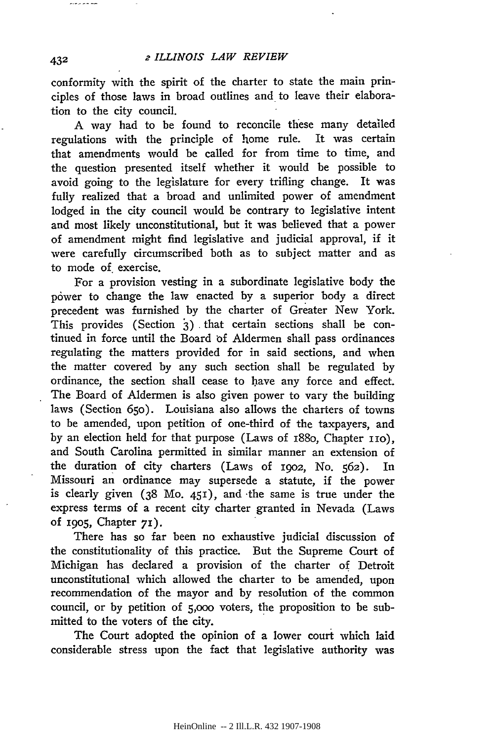conformity with the spirit of the charter to state the main principles of those laws in broad outlines and to leave their elaboration to the city council.

A way had to be found to reconcile these many detailed regulations with the principle of home rule. It was certain that amendments would be called for from time to time, and the question presented itself whether it would be possible to avoid going to the legislature for every trifling change. It was fully realized that a broad and unlimited power of amendment lodged in the city council would be contrary to legislative intent and most likely unconstitutional, but it was believed that a power of amendment might find legislative and judicial approval, if it were carefully circumscribed both as to subject matter and as to mode of exercise.

For a provision vesting in a subordinate legislative body the power to change the law enacted by a superior body a direct precedent was furnished by the charter of Greater New York. This provides (Section **3)** that certain sections shall be continued in force until the Board **bf** Aldermen shall pass ordinances regulating the matters provided for in said sections, and when the matter covered by any such section shall be regulated by ordinance, the section shall cease to have any force and effect. The Board of Aldermen is also given power to vary the building laws (Section 65o). Louisiana also allows the charters of towns to be amended, upon petition of one-third of the taxpayers, and by an election held for that purpose (Laws of 1880, Chapter 110), and South Carolina permitted in similar manner an extension of the duration of city charters (Laws of i9o2, No. 562). In Missouri an ordinance may supersede a statute, if the power is clearly given (38 Mo. 451), and -the same is true under the express terms of a recent city charter granted in Nevada (Laws of i9o5, Chapter **7).**

There has so far been no exhaustive judicial discussion of the constitutionality of this practice. But the Supreme Court of Michigan has declared a provision of the charter of Detroit unconstitutional which allowed the charter to be amended, upon recommendation of the mayor and by resolution of the common council, or by petition of 5,ooo voters, the proposition to be submitted to the voters of the city.

The Court adopted the opinion of a lower court which laid considerable stress upon the fact that legislative authority was

432

منعا بعامل مراجاته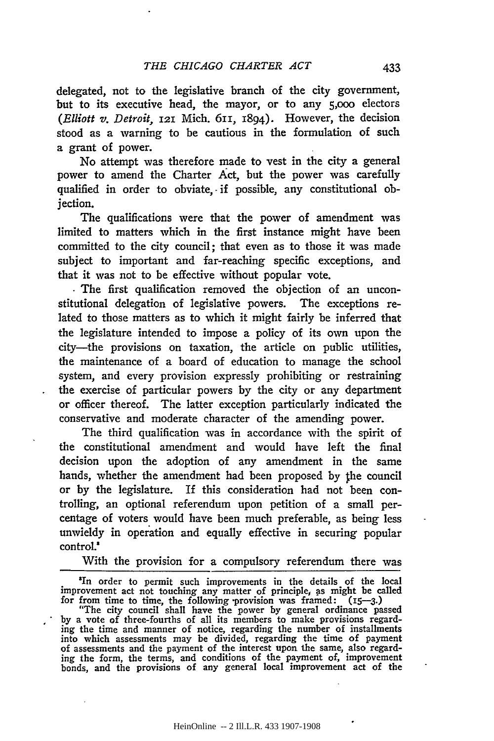delegated, not to the legislative branch of the city government, but to its executive head, the mayor, or to any 5,ooo electors *(Elliott v. Detroit,* **121** Mich. **6ii,** 1894). However, the decision stood as a warning to be cautious in the formulation of such a grant of power.

No attempt was therefore made to vest in the city a general power to amend the Charter Act, but the power was carefully qualified in order to obviate, if possible, any constitutional objection.

The qualifications were that the power of amendment was limited to matters which in the first instance might have been committed to the city council; that even as to those it was made subject to important and far-reaching specific exceptions, and that it was not to be effective without popular vote.

**.** The first qualification removed the objection of an unconstitutional delegation of legislative powers. The exceptions related to those matters as to which it might fairly be inferred that the legislature intended to impose a policy of its own upon the city-the provisions on taxation, the article on public utilities, the maintenance of a board of education to manage the school system, and every provision expressly prohibiting or restraining the exercise of particular powers **by** the city or any department or officer thereof. The latter exception particularly indicated the conservative and moderate character of the amending power.

The third qualification was in accordance with the spirit of the constitutional amendment and would have left the final decision upon the adoption of any amendment in the same hands, whether the amendment had been proposed by the council or **by** the legislature. If this consideration had not been controlling, an optional referendum upon petition of a small percentage of voters would have been much preferable, as being less unwieldy in operation and equally effective in securing popular control.'

With the provision for a compulsory referendum there was

'In order to permit such improvements in the details of the local improvement act not touching any matter of principle, **as** might be called for from time to time, the following -provision was framed: **(15-3.)**

"The city council shall have the power **by** general ordinance passed **by** a vote of three-fourths of all its members to make provisions regard- ing the time and manner of notice, regarding the number of installments into which assessments may be divided, regarding the time **of** payment of assessments and the payment of the interest upon the same, also regarding the form, the terms, and conditions of the payment of, improvement bonds, and the provisions of any general local improvement act of the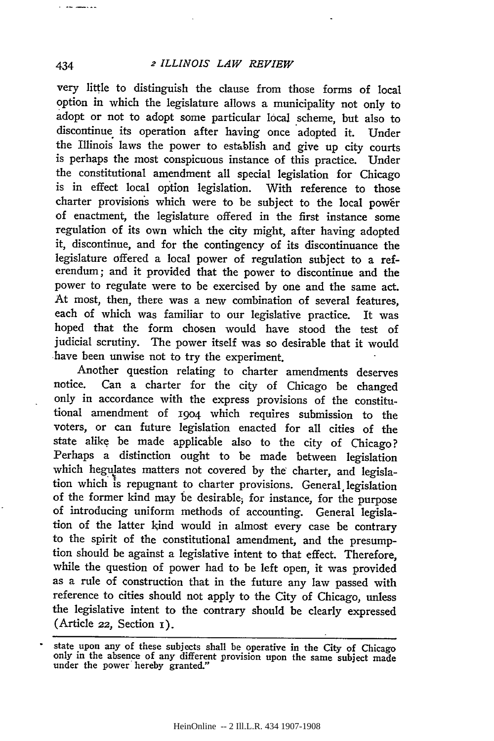#### <sup>2</sup>*ILLINOIS LAW REVIEW*

very little to distinguish the clause from those forms of local option in which the legislature allows a municipality not only to adopt or not to adopt some particular local scheme, but also to discontinue its operation after having once adopted it. Under the Illinois laws the power to establish and give up city courts is perhaps the most conspicuous instance of this practice. Under the constitutional amendment all special legislation for Chicago is in effect local option legislation. With reference to those charter provisions which were to be subject to the local power of enactment, the legislature offered in the first instance some regulation of its own which the city might, after having adopted it, discontinue, and for the contingency of its discontinuance the legislature offered a local power of regulation subject to a referendum; and it provided that the power to discontinue and the power to regulate were to be exercised by one and the same act. At most, then, there was a new combination of several features, each of which was familiar to our legislative practice. It was hoped that the form chosen would have stood the test of judicial scrutiny. The power itself was so desirable that it would have been unwise not to try the experiment.

Another question relating to charter amendments deserves notice. Can a charter for the city of Chicago be changed only in accordance with the express provisions of the constitutional amendment of 1904 which requires submission to the voters, or can future legislation enacted for all cities of the state alike be made applicable also to the city of Chicago? Perhaps a distinction ought to be made between legislation which hegulates matters not covered by the charter, and legislation which is repugnant to charter provisions. General, legislation of the former kind may be desirable; for instance, for the purpose of introducing uniform methods of accounting. General legislation of the latter kind would in almost every case be contrary to the spirit of the constitutional amendment, and the presumption should be against a legislative intent to that effect. Therefore, while the question of power had to be left open, it was provided as a rule of construction that in the future any law passed with reference to cities should not apply to the City of Chicago, unless the legislative intent to the contrary should be clearly expressed  $(A$ rticle 22, Section  $i$ ).

434

*Communication* 

state upon any of these subjects shall be operative in the City of Chicago only in the absence of any different provision upon the same subject made under the power hereby granted."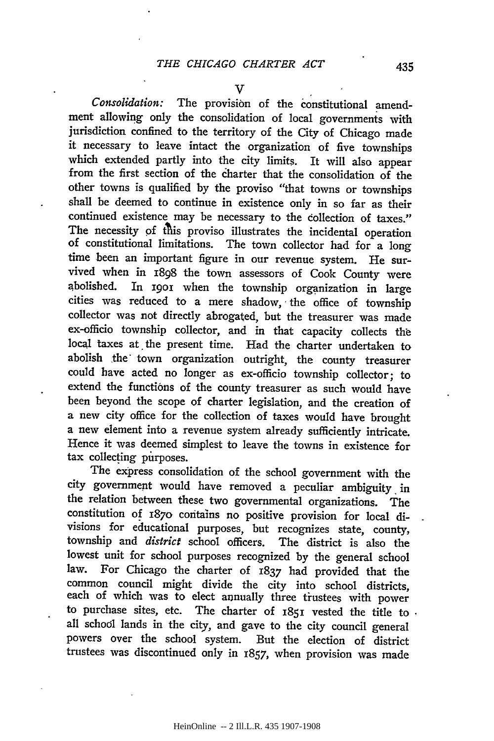*Consolidation:* The provision of the constitutional amendment allowing only the consolidation of local governments with jurisdiction confined to the territory of the City of Chicago made it necessary to leave intact the organization of five townships which extended partly into the city limits. It will also appear from the first section of the dharter that the consolidation of the other towns is qualified **by** the proviso "that towns or townships shall be deemed to continue in existence only in so far as their continued existence may be necessary to the collection of taxes."<br>The necessity of this proviso illustrates the incidental operation of constitutional limitations. The town collector had for a long time been an important figure in our revenue system. He survived when in 1898 the town assessors of Cook County were abolished. In 1901 when the township organization in large cities was reduced to a mere shadow, the office of township collector was not directly abrogated, but the treasurer was made ex-officio township collector, and in that capacity collects the local taxes at the present time. Had the charter undertaken to abolish the town organization outright, the county treasurer could have acted no longer as ex-officio township collector; to extend the functions of the county treasurer as such would have been beyond the scope of charter legislation, and the creation of a new city office for the collection of taxes would have brought a new element into a revenue system already sufficiently intricate. Hence it was deemed simplest to leave the towns in existence for tax collecting purposes.

The express consolidation of the school government with the city government would have removed a peculiar ambiguity in the relation between these two governmental organizations. The constitution of 187o contains no positive provision for local divisions for educational purposes, but recognizes state, county, township and *district* school officers. The district is also the lowest unit for school purposes recognized **by** the general school law. For Chicago the charter of 1837 had provided that the common council might divide the city into school districts, each of which was to elect annually three trustees with power to purchase sites, etc. The charter of **1851** vested the title to all school lands in the city, and gave to the city council general powers over the school system. But the election of district trustees was discontinued only in 1857, when provision was made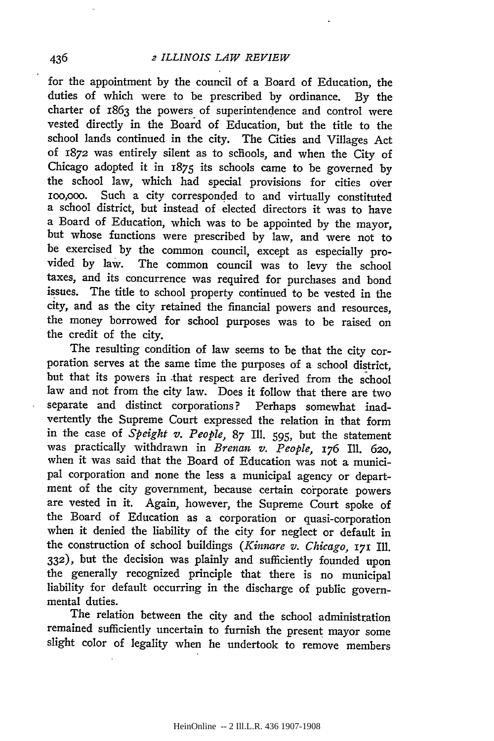for the appointment by the council of a Board of Education, the duties of which were to be prescribed by ordinance. By the charter of 1863 the powers of superintendence and control were vested directly in the Board of Education, but the title to the school lands continued in the city. The Cities and Villages Act of 1872 was entirely silent as to schools, and when the City of Chicago adopted it in 1875 its schools came to be governed by the school law, which had special provisions for cities over ioo,ooo. Such a city corresponded to and virtually constituted a school district, but instead of elected directors it was to have a Board of Education, which was to be appointed by the mayor, but whose functions were prescribed by law, and were not to be exercised by the common council, except as especially provided by law. The common council was to levy the school taxes, and its concurrence was required for purchases and bond issues. The title to school property continued to be vested in the city, and as the city retained the financial powers and resources, the money borrowed for school purposes was to be raised on the credit of the city.

The resulting condition of law seems to be that the city corporation serves at the same time the purposes of a school district, but that its powers in .that respect are derived from the school law and not from the city law. Does it follow that there are two separate and distinct corporations? Perhaps somewhat inadvertently the Supreme Court expressed the relation in that form in the case of *Speight v. People,* 87 Ill. 595, but the statement was practically withdrawn in *Brenan v. People,* **176** Ill. 620, when it was said that the Board of Education was not a municipal corporation and none the less a municipal agency or department of the city government, because certain corporate powers are vested in it. Again, however, the Supreme Court spoke of the Board of Education as a corporation or quasi-corporation when it denied the liability of the city for neglect or default in the construction of school buildings *(Kinnare v. Chicago,* **171** Ill. **332),** but the decision was plainly and sufficiently founded upon the generally recognized principle that there is no municipal liability for default occurring in the discharge of public governmental duties.

The relation between the city and the school administration remained sufficiently uncertain to furnish the present mayor some slight color of legality when he undertook to remove members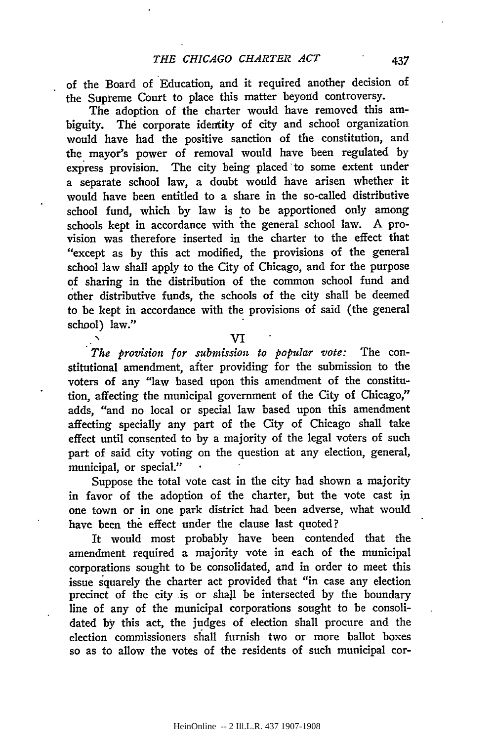of the Board of Education, and it required another decision of the Supreme Court to place this matter beyond controversy.

The adoption of the charter would have removed this ambiguity. **The** corporate identity of city and school organization would have had the positive sanction of the constitution, and the mayor's power of removal would have been regulated **by** express provision. The city being placed to some extent under a separate school law, a doubt would have arisen whether it would have been entitled to a share in the so-called distributive school fund, which **by** law is to be apportioned only among schools kept in accordance with the general school law. **A** provision was therefore inserted in the charter to the effect that "except as **by** this act modified, the provisions of the general school law shall apply to the City of Chicago, and for the purpose **of** sharing in the distribution of the common school fund and other distributive funds, the schools of the city shall be deemed to be kept in accordance with the provisions of said (the general school) law."

**VI**

*The provision for submission to popular vote:* The constitutional amendment, after providing for the submission to the voters of any "law based upon this amendment of the constitution, affecting the municipal government of the City of Chicago," adds, "and no local or special law based upon this amendment affecting specially any part of the City of Chicago shall take effect until consented to **by** a majority of the legal voters of such part of said city voting on the question at any election, general, municipal, or special."

Suppose the total vote cast in the city had shown a majority in favor of the adoption of the charter, but the vote cast **in** one town or in one park district had been adverse, what would have been the effect under the clause last quoted?

It would most probably have been contended that the amendment required a majority vote in each of the municipal corporations sought to be consolidated, and in order to meet this issue squarely the charter act provided that "in case any election precinct of the city is or shall be intersected **by** the boundary line of any of the municipal corporations sought to be consolidated **by** this act, the judges of election shall procure and the election commissioners shall furnish two or more ballot boxes so as to allow the votes of the residents of such municipal cor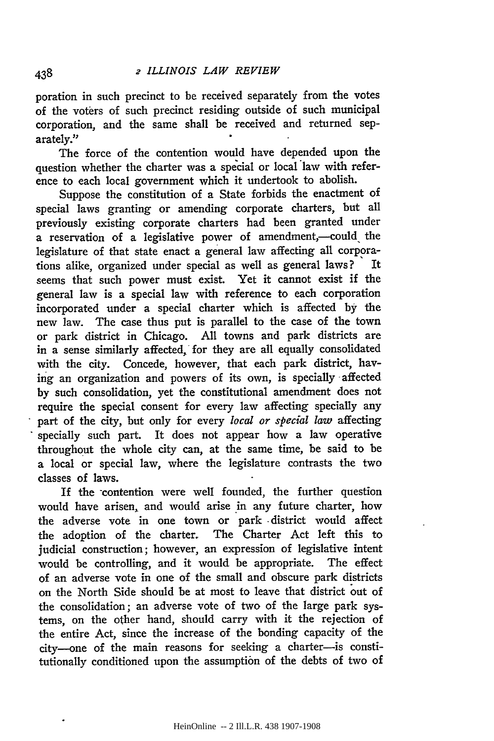poration in such precinct to be received separately from the votes of the voters of such precinct residing outside of such municipal corporation, and the same shall be received and returned separately."

The force of the contention would have depended upon the question whether the charter was a special or local law with reference to each local government which it undertook to abolish.

Suppose the constitution of a State forbids the enactment of special laws granting or amending corporate charters, but all previously existing corporate charters had been granted under a reservation of a legislative power of amendment,-could the legislature of that state enact a general law affecting all corporations alike, organized under special as well as general laws? It seems that such power must exist. Yet it cannot exist if the general law is a special law with reference to each corporation incorporated under a special charter which is affected by the new law. The case thus put is parallel to the case of the town or park district in Chicago. All towns and park districts are in a sense similarly affected, for they are all equally consolidated with the city. Concede, however, that each park district, having an organization and powers of its own, is specially -affected by such consolidation, yet the constitutional amendment does not require the special consent for every law affecting specially any part of the city, but only for every *local or special law* affecting specially such part. It does not appear how a law operative throughout the whole city can, at the same time, be said to be a local or special law, where the legislature contrasts the two classes of laws.

If the contention were well founded, the further question would have arisen, and would arise in any future charter, how the adverse vote in one town or park -district would affect the adoption of the charter. The Charter Act left this to judicial construction; however, an expression of legislative intent would be controlling, and it would be appropriate. The effect of an adverse vote in one of the small and obscure park districts on the North Side should be at most to leave that district out of the consolidation; an adverse vote of two of the large park systems, on the other hand, should carry with it the rejection of the entire Act, since the increase of the bonding capacity of the city-one of the main reasons for seeking a charter-is constitutionally conditioned upon the assumption of the debts of two of